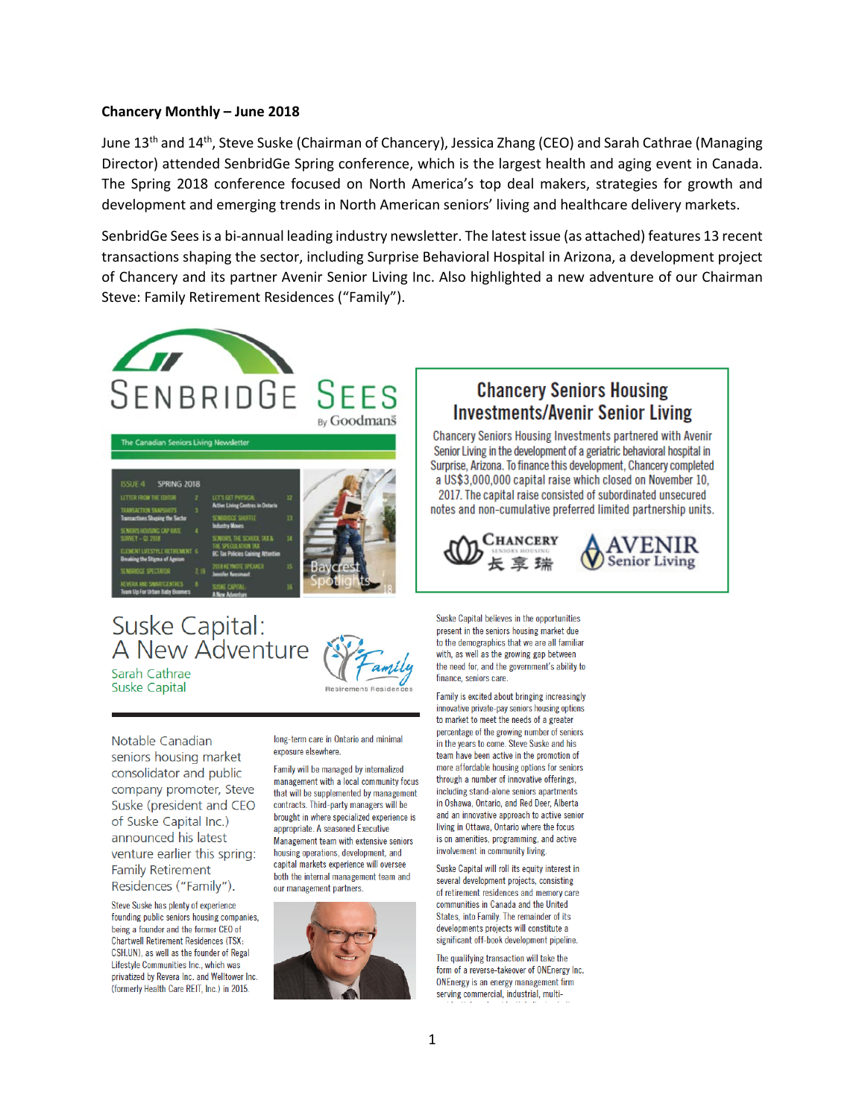#### **Chancery Monthly – June 2018**

June 13th and 14th, Steve Suske (Chairman of Chancery), Jessica Zhang (CEO) and Sarah Cathrae (Managing Director) attended SenbridGe Spring conference, which is the largest health and aging event in Canada. The Spring 2018 conference focused on North America's top deal makers, strategies for growth and development and emerging trends in North American seniors' living and healthcare delivery markets.

SenbridGe Sees is a bi-annual leading industry newsletter. The latest issue (as attached) features 13 recent transactions shaping the sector, including Surprise Behavioral Hospital in Arizona, a development project of Chancery and its partner Avenir Senior Living Inc. Also highlighted a new adventure of our Chairman Steve: Family Retirement Residences ("Family").



# Suske Capital: A New Adventure Sarah Cathrae

**Suske Capital** 

Notable Canadian seniors housing market consolidator and public company promoter, Steve Suske (president and CEO of Suske Capital Inc.) announced his latest venture earlier this spring: **Family Retirement** Residences ("Family").

Steve Suske has plenty of experience founding public seniors housing companies, being a founder and the former CFO of **Chartwell Retirement Residences (TSX:** CSH.UN), as well as the founder of Regal Lifestyle Communities Inc., which was privatized by Revera Inc. and Welltower Inc. (formerly Health Care REIT, Inc.) in 2015.

long-term care in Ontario and minimal exposure elsewhere

Family will be managed by internalized management with a local community focus. that will be supplemented by management contracts. Third-party managers will be brought in where specialized experience is appropriate. A seasoned Executive Management team with extensive seniors housing operations, development, and capital markets experience will oversee both the internal management team and our management partners.



## **Chancery Seniors Housing Investments/Avenir Senior Living**

Chancery Seniors Housing Investments partnered with Avenir Senior Living in the development of a geriatric behavioral hospital in Surprise, Arizona. To finance this development, Chancery completed a US\$3,000,000 capital raise which closed on November 10, 2017. The capital raise consisted of subordinated unsecured notes and non-cumulative preferred limited partnership units.





Suske Capital believes in the opportunities present in the seniors housing market due to the demographics that we are all familiar with, as well as the growing gap between the need for, and the government's ability to finance, seniors care

Family is excited about bringing increasingly innovative private-pay seniors housing options to market to meet the needs of a greater percentage of the growing number of seniors in the vears to come. Steve Suske and his team have been active in the promotion of more affordable housing options for seniors through a number of innovative offerings, including stand-alone seniors apartments in Oshawa, Ontario, and Red Deer, Alberta and an innovative approach to active senior living in Ottawa, Ontario where the focus is on amenities, programming, and active involvement in community living.

Suske Capital will roll its equity interest in several development projects, consisting of retirement residences and memory care communities in Canada and the United States, into Family. The remainder of its developments projects will constitute a significant off-book development pipeline.

The qualifying transaction will take the form of a reverse-takeover of ONEnergy Inc. ONEnergy is an energy management firm serving commercial, industrial, multi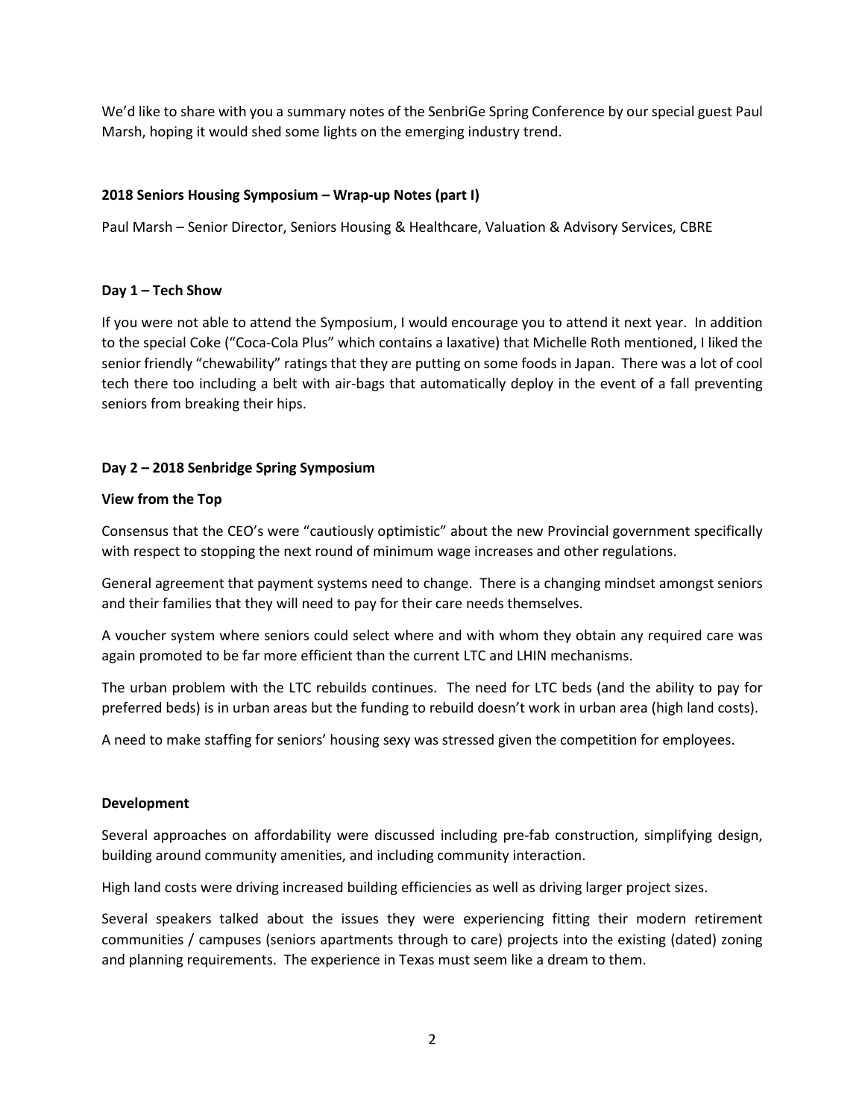We'd like to share with you a summary notes of the SenbriGe Spring Conference by our special guest Paul Marsh, hoping it would shed some lights on the emerging industry trend.

#### **2018 Seniors Housing Symposium – Wrap-up Notes (part I)**

Paul Marsh – Senior Director, Seniors Housing & Healthcare, Valuation & Advisory Services, CBRE

#### **Day 1 – Tech Show**

If you were not able to attend the Symposium, I would encourage you to attend it next year. In addition to the special Coke ("Coca-Cola Plus" which contains a laxative) that Michelle Roth mentioned, I liked the senior friendly "chewability" ratings that they are putting on some foods in Japan. There was a lot of cool tech there too including a belt with air-bags that automatically deploy in the event of a fall preventing seniors from breaking their hips.

### **Day 2 – 2018 Senbridge Spring Symposium**

#### **View from the Top**

Consensus that the CEO's were "cautiously optimistic" about the new Provincial government specifically with respect to stopping the next round of minimum wage increases and other regulations.

General agreement that payment systems need to change. There is a changing mindset amongst seniors and their families that they will need to pay for their care needs themselves.

A voucher system where seniors could select where and with whom they obtain any required care was again promoted to be far more efficient than the current LTC and LHIN mechanisms.

The urban problem with the LTC rebuilds continues. The need for LTC beds (and the ability to pay for preferred beds) is in urban areas but the funding to rebuild doesn't work in urban area (high land costs).

A need to make staffing for seniors' housing sexy was stressed given the competition for employees.

#### **Development**

Several approaches on affordability were discussed including pre-fab construction, simplifying design, building around community amenities, and including community interaction.

High land costs were driving increased building efficiencies as well as driving larger project sizes.

Several speakers talked about the issues they were experiencing fitting their modern retirement communities / campuses (seniors apartments through to care) projects into the existing (dated) zoning and planning requirements. The experience in Texas must seem like a dream to them.